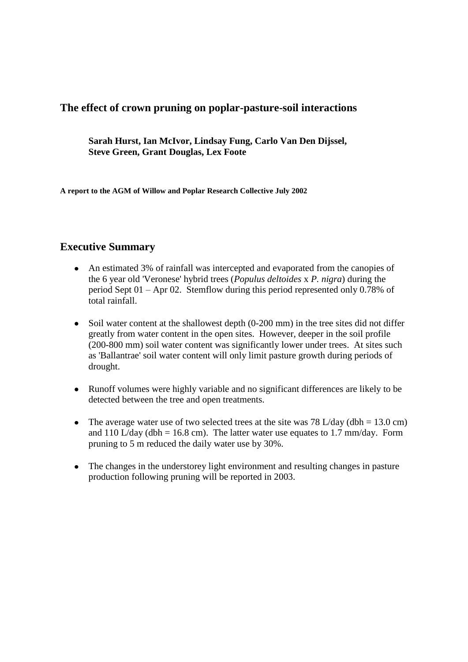# **The effect of crown pruning on poplar-pasture-soil interactions**

**Sarah Hurst, Ian McIvor, Lindsay Fung, Carlo Van Den Dijssel, Steve Green, Grant Douglas, Lex Foote**

**A report to the AGM of Willow and Poplar Research Collective July 2002**

# **Executive Summary**

- An estimated 3% of rainfall was intercepted and evaporated from the canopies of the 6 year old 'Veronese' hybrid trees (*Populus deltoides* x *P. nigra*) during the period Sept 01 – Apr 02. Stemflow during this period represented only 0.78% of total rainfall.
- Soil water content at the shallowest depth (0-200 mm) in the tree sites did not differ greatly from water content in the open sites. However, deeper in the soil profile (200-800 mm) soil water content was significantly lower under trees. At sites such as 'Ballantrae' soil water content will only limit pasture growth during periods of drought.
- Runoff volumes were highly variable and no significant differences are likely to be detected between the tree and open treatments.
- The average water use of two selected trees at the site was  $78 \text{ L/day}$  (dbh = 13.0 cm)  $\bullet$ and 110 L/day (dbh = 16.8 cm). The latter water use equates to 1.7 mm/day. Form pruning to 5 m reduced the daily water use by 30%.
- The changes in the understorey light environment and resulting changes in pasture production following pruning will be reported in 2003.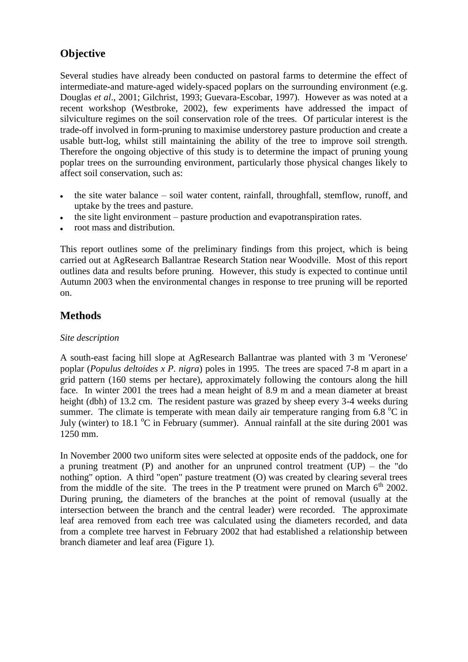# **Objective**

Several studies have already been conducted on pastoral farms to determine the effect of intermediate-and mature-aged widely-spaced poplars on the surrounding environment (e.g. Douglas *et al*., 2001; Gilchrist, 1993; Guevara-Escobar, 1997). However as was noted at a recent workshop (Westbroke, 2002), few experiments have addressed the impact of silviculture regimes on the soil conservation role of the trees. Of particular interest is the trade-off involved in form-pruning to maximise understorey pasture production and create a usable butt-log, whilst still maintaining the ability of the tree to improve soil strength. Therefore the ongoing objective of this study is to determine the impact of pruning young poplar trees on the surrounding environment, particularly those physical changes likely to affect soil conservation, such as:

- the site water balance soil water content, rainfall, throughfall, stemflow, runoff, and  $\bullet$ uptake by the trees and pasture.
- the site light environment pasture production and evapotranspiration rates.
- root mass and distribution.

This report outlines some of the preliminary findings from this project, which is being carried out at AgResearch Ballantrae Research Station near Woodville. Most of this report outlines data and results before pruning. However, this study is expected to continue until Autumn 2003 when the environmental changes in response to tree pruning will be reported on.

# **Methods**

# *Site description*

A south-east facing hill slope at AgResearch Ballantrae was planted with 3 m 'Veronese' poplar (*Populus deltoides x P. nigra*) poles in 1995. The trees are spaced 7-8 m apart in a grid pattern (160 stems per hectare), approximately following the contours along the hill face. In winter 2001 the trees had a mean height of 8.9 m and a mean diameter at breast height (dbh) of 13.2 cm. The resident pasture was grazed by sheep every 3-4 weeks during summer. The climate is temperate with mean daily air temperature ranging from 6.8  $^{\circ}$ C in July (winter) to 18.1  $\rm{^{\circ}C}$  in February (summer). Annual rainfall at the site during 2001 was 1250 mm.

In November 2000 two uniform sites were selected at opposite ends of the paddock, one for a pruning treatment (P) and another for an unpruned control treatment (UP) – the "do nothing" option. A third "open" pasture treatment (O) was created by clearing several trees from the middle of the site. The trees in the P treatment were pruned on March  $6<sup>th</sup>$  2002. During pruning, the diameters of the branches at the point of removal (usually at the intersection between the branch and the central leader) were recorded. The approximate leaf area removed from each tree was calculated using the diameters recorded, and data from a complete tree harvest in February 2002 that had established a relationship between branch diameter and leaf area (Figure 1).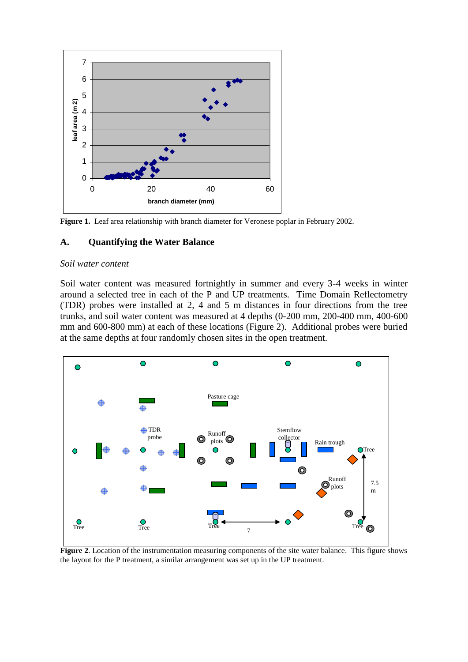

**Figure 1.** Leaf area relationship with branch diameter for Veronese poplar in February 2002.

#### **A. Quantifying the Water Balance**

#### *Soil water content*

Soil water content was measured fortnightly in summer and every 3-4 weeks in winter around a selected tree in each of the P and UP treatments. Time Domain Reflectometry (TDR) probes were installed at 2, 4 and 5 m distances in four directions from the tree trunks, and soil water content was measured at 4 depths (0-200 mm, 200-400 mm, 400-600 mm and 600-800 mm) at each of these locations (Figure 2). Additional probes were buried at the same depths at four randomly chosen sites in the open treatment.



**Figure 2**. Location of the instrumentation measuring components of the site water balance. This figure shows the layout for the P treatment, a similar arrangement was set up in the UP treatment.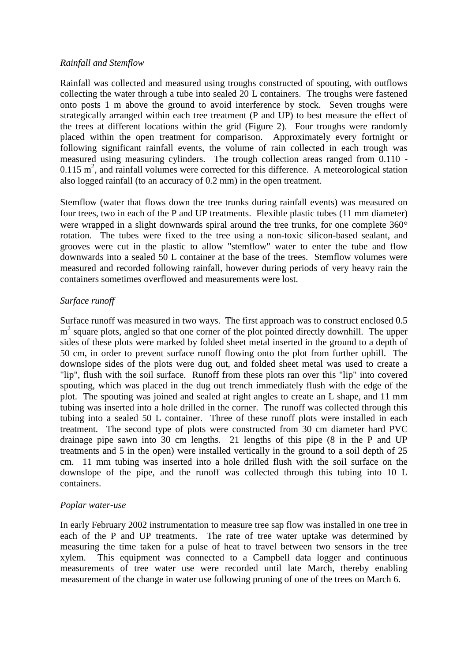#### *Rainfall and Stemflow*

Rainfall was collected and measured using troughs constructed of spouting, with outflows collecting the water through a tube into sealed 20 L containers. The troughs were fastened onto posts 1 m above the ground to avoid interference by stock. Seven troughs were strategically arranged within each tree treatment (P and UP) to best measure the effect of the trees at different locations within the grid (Figure 2). Four troughs were randomly placed within the open treatment for comparison. Approximately every fortnight or following significant rainfall events, the volume of rain collected in each trough was measured using measuring cylinders. The trough collection areas ranged from 0.110 -  $0.115 \text{ m}^2$ , and rainfall volumes were corrected for this difference. A meteorological station also logged rainfall (to an accuracy of 0.2 mm) in the open treatment.

Stemflow (water that flows down the tree trunks during rainfall events) was measured on four trees, two in each of the P and UP treatments. Flexible plastic tubes (11 mm diameter) were wrapped in a slight downwards spiral around the tree trunks, for one complete 360° rotation. The tubes were fixed to the tree using a non-toxic silicon-based sealant, and grooves were cut in the plastic to allow "stemflow" water to enter the tube and flow downwards into a sealed 50 L container at the base of the trees. Stemflow volumes were measured and recorded following rainfall, however during periods of very heavy rain the containers sometimes overflowed and measurements were lost.

#### *Surface runoff*

Surface runoff was measured in two ways. The first approach was to construct enclosed 0.5 m<sup>2</sup> square plots, angled so that one corner of the plot pointed directly downhill. The upper sides of these plots were marked by folded sheet metal inserted in the ground to a depth of 50 cm, in order to prevent surface runoff flowing onto the plot from further uphill. The downslope sides of the plots were dug out, and folded sheet metal was used to create a "lip", flush with the soil surface. Runoff from these plots ran over this "lip" into covered spouting, which was placed in the dug out trench immediately flush with the edge of the plot. The spouting was joined and sealed at right angles to create an L shape, and 11 mm tubing was inserted into a hole drilled in the corner. The runoff was collected through this tubing into a sealed 50 L container. Three of these runoff plots were installed in each treatment. The second type of plots were constructed from 30 cm diameter hard PVC drainage pipe sawn into 30 cm lengths. 21 lengths of this pipe (8 in the P and UP treatments and 5 in the open) were installed vertically in the ground to a soil depth of 25 cm. 11 mm tubing was inserted into a hole drilled flush with the soil surface on the downslope of the pipe, and the runoff was collected through this tubing into 10 L containers.

#### *Poplar water-use*

In early February 2002 instrumentation to measure tree sap flow was installed in one tree in each of the P and UP treatments. The rate of tree water uptake was determined by measuring the time taken for a pulse of heat to travel between two sensors in the tree xylem. This equipment was connected to a Campbell data logger and continuous measurements of tree water use were recorded until late March, thereby enabling measurement of the change in water use following pruning of one of the trees on March 6.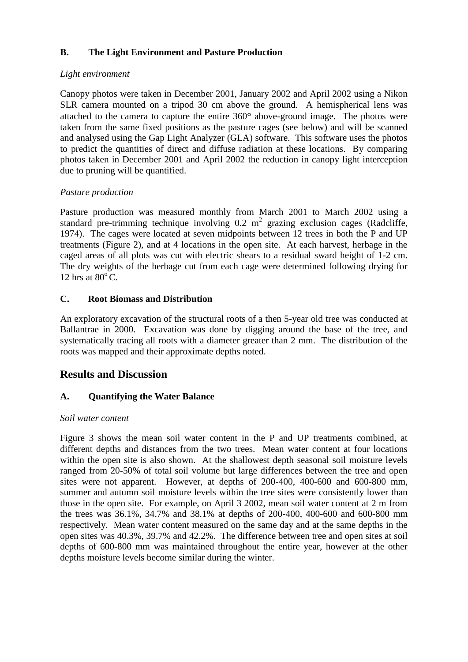# **B. The Light Environment and Pasture Production**

# *Light environment*

Canopy photos were taken in December 2001, January 2002 and April 2002 using a Nikon SLR camera mounted on a tripod 30 cm above the ground. A hemispherical lens was attached to the camera to capture the entire  $360^\circ$  above-ground image. The photos were taken from the same fixed positions as the pasture cages (see below) and will be scanned and analysed using the Gap Light Analyzer (GLA) software. This software uses the photos to predict the quantities of direct and diffuse radiation at these locations. By comparing photos taken in December 2001 and April 2002 the reduction in canopy light interception due to pruning will be quantified.

# *Pasture production*

Pasture production was measured monthly from March 2001 to March 2002 using a standard pre-trimming technique involving  $0.2 \text{ m}^2$  grazing exclusion cages (Radcliffe, 1974). The cages were located at seven midpoints between 12 trees in both the P and UP treatments (Figure 2), and at 4 locations in the open site. At each harvest, herbage in the caged areas of all plots was cut with electric shears to a residual sward height of 1-2 cm. The dry weights of the herbage cut from each cage were determined following drying for 12 hrs at  $80^{\circ}$  C.

# **C. Root Biomass and Distribution**

An exploratory excavation of the structural roots of a then 5-year old tree was conducted at Ballantrae in 2000. Excavation was done by digging around the base of the tree, and systematically tracing all roots with a diameter greater than 2 mm. The distribution of the roots was mapped and their approximate depths noted.

# **Results and Discussion**

# **A. Quantifying the Water Balance**

#### *Soil water content*

Figure 3 shows the mean soil water content in the P and UP treatments combined, at different depths and distances from the two trees. Mean water content at four locations within the open site is also shown. At the shallowest depth seasonal soil moisture levels ranged from 20-50% of total soil volume but large differences between the tree and open sites were not apparent. However, at depths of 200-400, 400-600 and 600-800 mm, summer and autumn soil moisture levels within the tree sites were consistently lower than those in the open site. For example, on April 3 2002, mean soil water content at 2 m from the trees was 36.1%, 34.7% and 38.1% at depths of 200-400, 400-600 and 600-800 mm respectively. Mean water content measured on the same day and at the same depths in the open sites was 40.3%, 39.7% and 42.2%. The difference between tree and open sites at soil depths of 600-800 mm was maintained throughout the entire year, however at the other depths moisture levels become similar during the winter.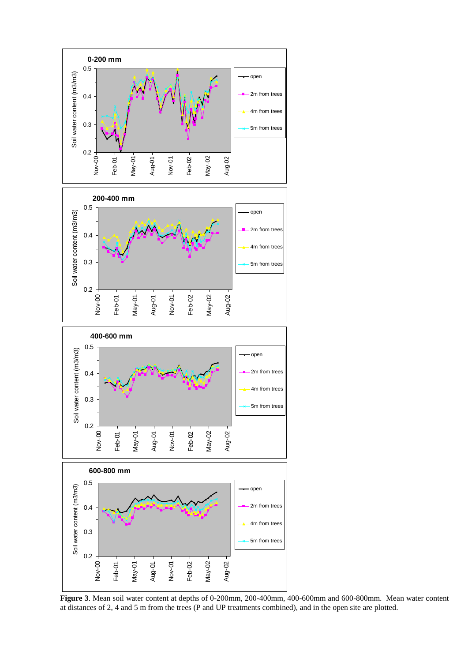

**Figure 3**. Mean soil water content at depths of 0-200mm, 200-400mm, 400-600mm and 600-800mm. Mean water content at distances of 2, 4 and 5 m from the trees (P and UP treatments combined), and in the open site are plotted.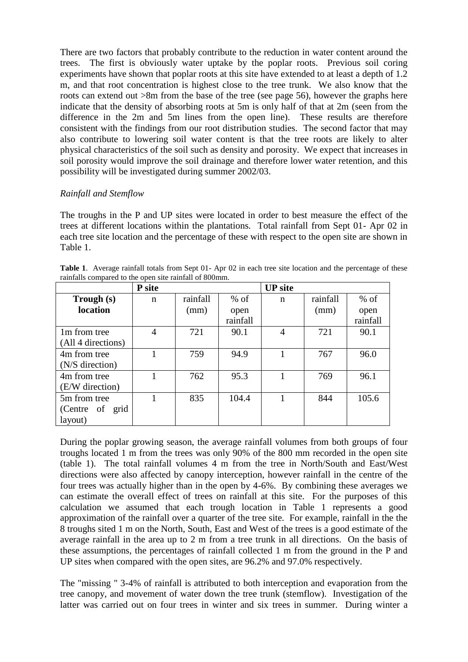There are two factors that probably contribute to the reduction in water content around the trees. The first is obviously water uptake by the poplar roots. Previous soil coring experiments have shown that poplar roots at this site have extended to at least a depth of 1.2 m, and that root concentration is highest close to the tree trunk. We also know that the roots can extend out >8m from the base of the tree (see page 56), however the graphs here indicate that the density of absorbing roots at 5m is only half of that at 2m (seen from the difference in the 2m and 5m lines from the open line). These results are therefore consistent with the findings from our root distribution studies. The second factor that may also contribute to lowering soil water content is that the tree roots are likely to alter physical characteristics of the soil such as density and porosity. We expect that increases in soil porosity would improve the soil drainage and therefore lower water retention, and this possibility will be investigated during summer 2002/03.

# *Rainfall and Stemflow*

The troughs in the P and UP sites were located in order to best measure the effect of the trees at different locations within the plantations. Total rainfall from Sept 01- Apr 02 in each tree site location and the percentage of these with respect to the open site are shown in Table 1.

**Table 1**. Average rainfall totals from Sept 01- Apr 02 in each tree site location and the percentage of these rainfalls compared to the open site rainfall of 800mm.

|                    | P site         |          |          | <b>UP</b> site |          |          |
|--------------------|----------------|----------|----------|----------------|----------|----------|
| Trough (s)         | n              | rainfall | $%$ of   | n              | rainfall | $%$ of   |
| location           |                | (mm)     | open     |                | (mm)     | open     |
|                    |                |          | rainfall |                |          | rainfall |
| 1m from tree       | $\overline{4}$ | 721      | 90.1     | $\overline{4}$ | 721      | 90.1     |
| (All 4 directions) |                |          |          |                |          |          |
| 4m from tree       |                | 759      | 94.9     |                | 767      | 96.0     |
| (N/S direction)    |                |          |          |                |          |          |
| 4m from tree       |                | 762      | 95.3     |                | 769      | 96.1     |
| (E/W direction)    |                |          |          |                |          |          |
| 5m from tree       |                | 835      | 104.4    |                | 844      | 105.6    |
| (Centre of grid    |                |          |          |                |          |          |
| layout)            |                |          |          |                |          |          |

During the poplar growing season, the average rainfall volumes from both groups of four troughs located 1 m from the trees was only 90% of the 800 mm recorded in the open site (table 1). The total rainfall volumes 4 m from the tree in North/South and East/West directions were also affected by canopy interception, however rainfall in the centre of the four trees was actually higher than in the open by 4-6%. By combining these averages we can estimate the overall effect of trees on rainfall at this site. For the purposes of this calculation we assumed that each trough location in Table 1 represents a good approximation of the rainfall over a quarter of the tree site. For example, rainfall in the the 8 troughs sited 1 m on the North, South, East and West of the trees is a good estimate of the average rainfall in the area up to 2 m from a tree trunk in all directions. On the basis of these assumptions, the percentages of rainfall collected 1 m from the ground in the P and UP sites when compared with the open sites, are 96.2% and 97.0% respectively.

The "missing " 3-4% of rainfall is attributed to both interception and evaporation from the tree canopy, and movement of water down the tree trunk (stemflow). Investigation of the latter was carried out on four trees in winter and six trees in summer. During winter a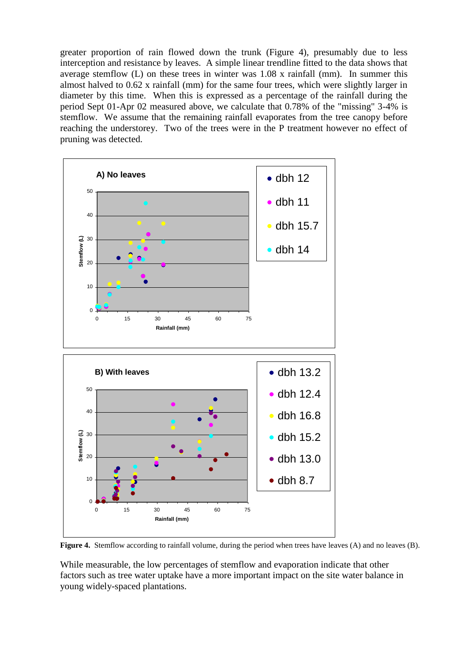greater proportion of rain flowed down the trunk (Figure 4), presumably due to less interception and resistance by leaves. A simple linear trendline fitted to the data shows that average stemflow (L) on these trees in winter was 1.08 x rainfall (mm). In summer this almost halved to 0.62 x rainfall (mm) for the same four trees, which were slightly larger in diameter by this time. When this is expressed as a percentage of the rainfall during the period Sept 01-Apr 02 measured above, we calculate that 0.78% of the "missing" 3-4% is stemflow. We assume that the remaining rainfall evaporates from the tree canopy before reaching the understorey. Two of the trees were in the P treatment however no effect of pruning was detected.



**Figure 4.** Stemflow according to rainfall volume, during the period when trees have leaves (A) and no leaves (B).

While measurable, the low percentages of stemflow and evaporation indicate that other factors such as tree water uptake have a more important impact on the site water balance in young widely-spaced plantations.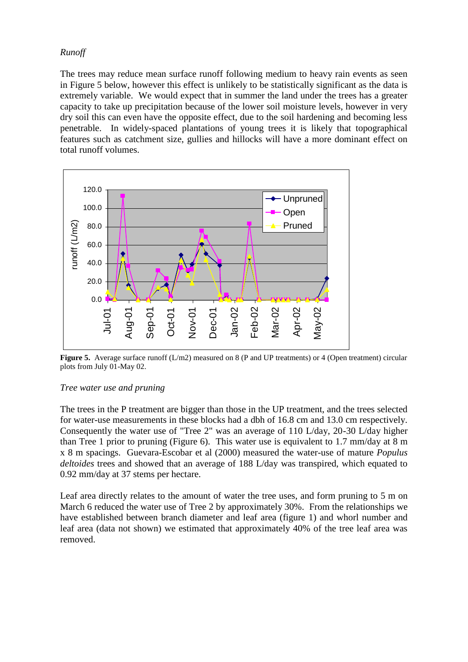#### *Runoff*

The trees may reduce mean surface runoff following medium to heavy rain events as seen in Figure 5 below, however this effect is unlikely to be statistically significant as the data is extremely variable. We would expect that in summer the land under the trees has a greater capacity to take up precipitation because of the lower soil moisture levels, however in very dry soil this can even have the opposite effect, due to the soil hardening and becoming less penetrable. In widely-spaced plantations of young trees it is likely that topographical features such as catchment size, gullies and hillocks will have a more dominant effect on total runoff volumes.



**Figure 5.** Average surface runoff (L/m2) measured on 8 (P and UP treatments) or 4 (Open treatment) circular plots from July 01-May 02.

#### *Tree water use and pruning*

The trees in the P treatment are bigger than those in the UP treatment, and the trees selected for water-use measurements in these blocks had a dbh of 16.8 cm and 13.0 cm respectively. Consequently the water use of "Tree 2" was an average of 110 L/day, 20-30 L/day higher than Tree 1 prior to pruning (Figure 6). This water use is equivalent to 1.7 mm/day at 8 m x 8 m spacings. Guevara-Escobar et al (2000) measured the water-use of mature *Populus deltoides* trees and showed that an average of 188 L/day was transpired, which equated to 0.92 mm/day at 37 stems per hectare.

Leaf area directly relates to the amount of water the tree uses, and form pruning to 5 m on March 6 reduced the water use of Tree 2 by approximately 30%. From the relationships we have established between branch diameter and leaf area (figure 1) and whorl number and leaf area (data not shown) we estimated that approximately 40% of the tree leaf area was removed.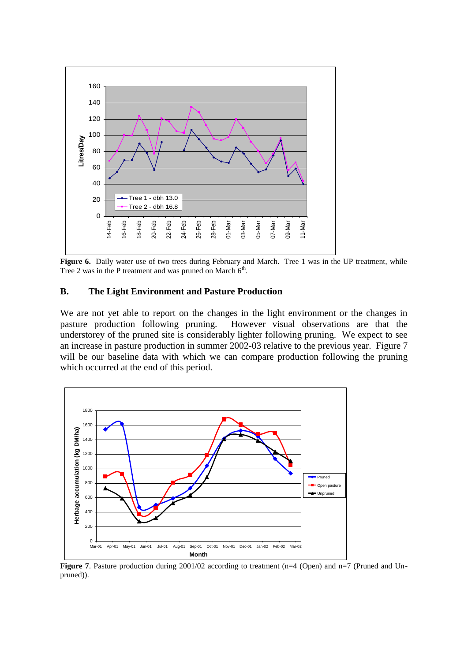

Figure 6. Daily water use of two trees during February and March. Tree 1 was in the UP treatment, while Tree 2 was in the P treatment and was pruned on March  $6<sup>th</sup>$ .

#### **B. The Light Environment and Pasture Production**

We are not yet able to report on the changes in the light environment or the changes in pasture production following pruning. However visual observations are that the understorey of the pruned site is considerably lighter following pruning. We expect to see an increase in pasture production in summer 2002-03 relative to the previous year. Figure 7 will be our baseline data with which we can compare production following the pruning which occurred at the end of this period.



**Figure 7.** Pasture production during 2001/02 according to treatment (n=4 (Open) and n=7 (Pruned and Unpruned)).